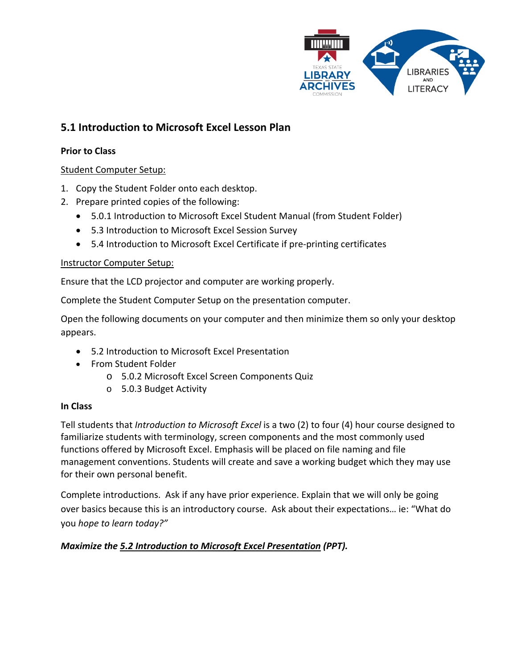

# **5.1 Introduction to Microsoft Excel Lesson Plan**

### **Prior to Class**

### Student Computer Setup:

- 1. Copy the Student Folder onto each desktop.
- 2. Prepare printed copies of the following:
	- 5.0.1 Introduction to Microsoft Excel Student Manual (from Student Folder)
	- 5.3 Introduction to Microsoft Excel Session Survey
	- 5.4 Introduction to Microsoft Excel Certificate if pre-printing certificates

#### Instructor Computer Setup:

Ensure that the LCD projector and computer are working properly.

Complete the Student Computer Setup on the presentation computer.

Open the following documents on your computer and then minimize them so only your desktop appears.

- 5.2 Introduction to Microsoft Excel Presentation
- From Student Folder
	- o 5.0.2 Microsoft Excel Screen Components Quiz
	- o 5.0.3 Budget Activity

### **In Class**

Tell students that *Introduction to Microsoft Excel* is a two (2) to four (4) hour course designed to familiarize students with terminology, screen components and the most commonly used functions offered by Microsoft Excel. Emphasis will be placed on file naming and file management conventions. Students will create and save a working budget which they may use for their own personal benefit.

Complete introductions. Ask if any have prior experience. Explain that we will only be going over basics because this is an introductory course. Ask about their expectations… ie: "What do you *hope to learn today?"*

## *Maximize the 5.2 Introduction to Microsoft Excel Presentation (PPT).*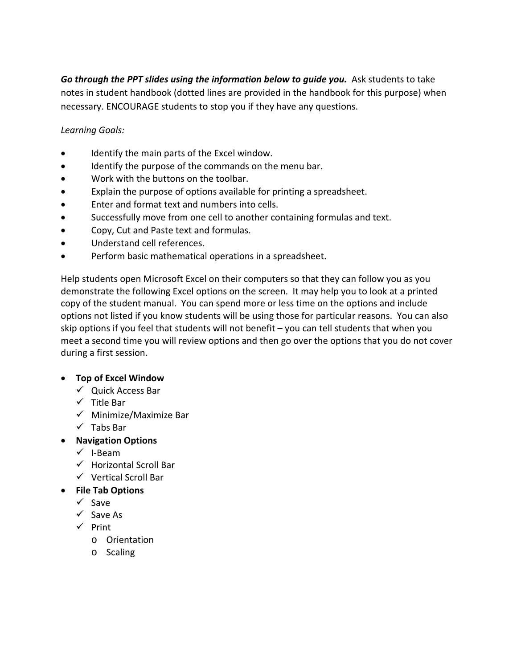Go through the PPT slides using the information below to quide you. Ask students to take notes in student handbook (dotted lines are provided in the handbook for this purpose) when necessary. ENCOURAGE students to stop you if they have any questions.

*Learning Goals:*

- Identify the main parts of the Excel window.
- Identify the purpose of the commands on the menu bar.
- Work with the buttons on the toolbar.
- Explain the purpose of options available for printing a spreadsheet.
- Enter and format text and numbers into cells.
- Successfully move from one cell to another containing formulas and text.
- Copy, Cut and Paste text and formulas.
- Understand cell references.
- Perform basic mathematical operations in a spreadsheet.

Help students open Microsoft Excel on their computers so that they can follow you as you demonstrate the following Excel options on the screen. It may help you to look at a printed copy of the student manual. You can spend more or less time on the options and include options not listed if you know students will be using those for particular reasons. You can also skip options if you feel that students will not benefit – you can tell students that when you meet a second time you will review options and then go over the options that you do not cover during a first session.

### • **Top of Excel Window**

- $\checkmark$  Quick Access Bar
- $\checkmark$  Title Bar
- $\checkmark$  Minimize/Maximize Bar
- $\checkmark$  Tabs Bar
- **Navigation Options**
	- $\checkmark$  I-Beam
	- $\checkmark$  Horizontal Scroll Bar
	- $\checkmark$  Vertical Scroll Bar
- **File Tab Options**
	- $\checkmark$  Save
	- $\checkmark$  Save As
	- $\checkmark$  Print
		- o Orientation
		- o Scaling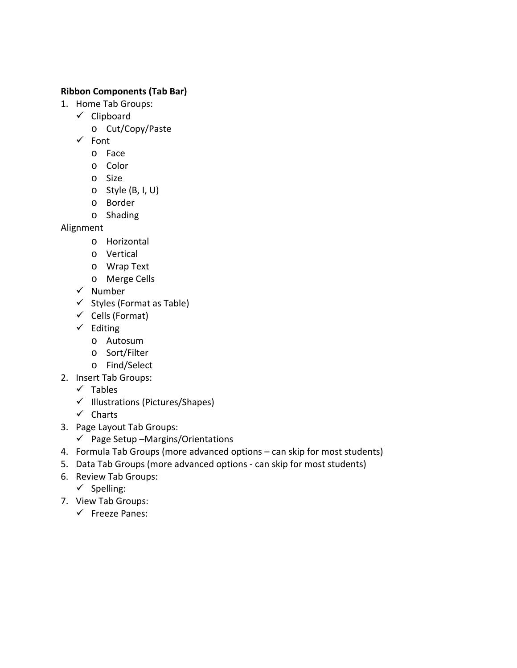#### **Ribbon Components (Tab Bar)**

- 1. Home Tab Groups:
	- $\checkmark$  Clipboard
		- o Cut/Copy/Paste
	- $\checkmark$  Font
		- o Face
		- o Color
		- o Size
		- o Style (B, I, U)
		- o Border
		- o Shading

Alignment

- o Horizontal
- o Vertical
- o Wrap Text
- o Merge Cells
- $\checkmark$  Number
- $\checkmark$  Styles (Format as Table)
- $\checkmark$  Cells (Format)
- $\checkmark$  Editing
	- o Autosum
	- o Sort/Filter
	- o Find/Select
- 2. Insert Tab Groups:
	- $\checkmark$  Tables
	- $\checkmark$  Illustrations (Pictures/Shapes)
	- $\checkmark$  Charts
- 3. Page Layout Tab Groups:
	- $\checkmark$  Page Setup –Margins/Orientations
- 4. Formula Tab Groups (more advanced options can skip for most students)
- 5. Data Tab Groups (more advanced options can skip for most students)
- 6. Review Tab Groups:
	- $\checkmark$  Spelling:
- 7. View Tab Groups:
	- $\checkmark$  Freeze Panes: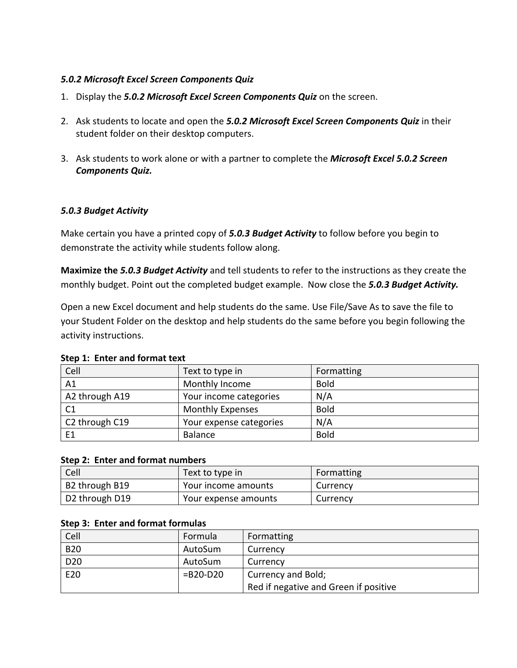### *5.0.2 Microsoft Excel Screen Components Quiz*

- 1. Display the *5.0.2 Microsoft Excel Screen Components Quiz* on the screen.
- 2. Ask students to locate and open the *5.0.2 Microsoft Excel Screen Components Quiz* in their student folder on their desktop computers.
- 3. Ask students to work alone or with a partner to complete the *Microsoft Excel 5.0.2 Screen Components Quiz.*

### *5.0.3 Budget Activity*

Make certain you have a printed copy of *5.0.3 Budget Activity* to follow before you begin to demonstrate the activity while students follow along.

**Maximize the** *5.0.3 Budget Activity* and tell students to refer to the instructions as they create the monthly budget. Point out the completed budget example. Now close the *5.0.3 Budget Activity.*

Open a new Excel document and help students do the same. Use File/Save As to save the file to your Student Folder on the desktop and help students do the same before you begin following the activity instructions.

| Cell                                                              | Text to type in         | Formatting  |
|-------------------------------------------------------------------|-------------------------|-------------|
| A1                                                                | Monthly Income          | <b>Bold</b> |
| A2 through A19                                                    | Your income categories  | N/A         |
| C <sub>1</sub>                                                    | <b>Monthly Expenses</b> | <b>Bold</b> |
| C <sub>2</sub> through C <sub>19</sub><br>Your expense categories |                         | N/A         |
| E1                                                                | Balance                 | <b>Bold</b> |

#### **Step 1: Enter and format text**

#### **Step 2: Enter and format numbers**

| Cell           | Text to type in      | Formatting |
|----------------|----------------------|------------|
| B2 through B19 | Your income amounts  | Currency   |
| D2 through D19 | Your expense amounts | Currency   |

#### **Step 3: Enter and format formulas**

| Cell            | Formula       | Formatting                            |
|-----------------|---------------|---------------------------------------|
| <b>B20</b>      | AutoSum       | Currency                              |
| D <sub>20</sub> | AutoSum       | Currency                              |
| E20             | $= B20 - D20$ | Currency and Bold;                    |
|                 |               | Red if negative and Green if positive |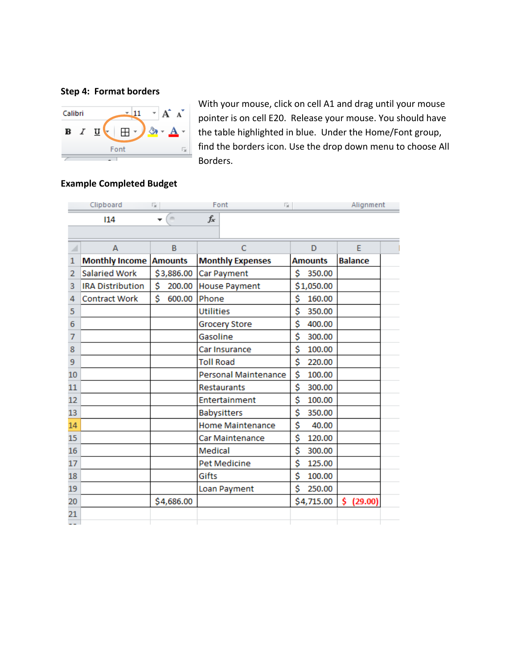#### **Step 4: Format borders**



With your mouse, click on cell A1 and drag until your mouse pointer is on cell E20. Release your mouse. You should have the table highlighted in blue. Under the Home/Font group, find the borders icon. Use the drop down menu to choose All Borders.

### **Example Completed Budget**

|    | Clipboard                     | - 15                   | Font<br>- 13            |                | Alignment      |
|----|-------------------------------|------------------------|-------------------------|----------------|----------------|
|    | 114                           | $\sim$<br>$\mathbf{r}$ | $f_x$                   |                |                |
|    |                               |                        |                         |                |                |
| ⊿  | A                             | B                      | C                       | D              | E              |
| 1  | <b>Monthly Income Amounts</b> |                        | <b>Monthly Expenses</b> | <b>Amounts</b> | <b>Balance</b> |
| 2  | <b>Salaried Work</b>          | \$3,886.00             | Car Payment             | \$<br>350.00   |                |
| 3  | <b>IRA Distribution</b>       | \$<br>200.00           | <b>House Payment</b>    | \$1,050.00     |                |
| 4  | <b>Contract Work</b>          | \$<br>600.00           | Phone                   | \$<br>160.00   |                |
| 5  |                               |                        | <b>Utilities</b>        | \$<br>350.00   |                |
| 6  |                               |                        | <b>Grocery Store</b>    | \$<br>400.00   |                |
| 7  |                               |                        | Gasoline                | \$<br>300.00   |                |
| 8  |                               |                        | Car Insurance           | \$<br>100.00   |                |
| 9  |                               |                        | <b>Toll Road</b>        | \$<br>220.00   |                |
| 10 |                               |                        | Personal Maintenance    | \$<br>100.00   |                |
| 11 |                               |                        | Restaurants             | \$<br>300.00   |                |
| 12 |                               |                        | Entertainment           | \$<br>100.00   |                |
| 13 |                               |                        | <b>Babysitters</b>      | \$<br>350.00   |                |
| 14 |                               |                        | <b>Home Maintenance</b> | \$<br>40.00    |                |
| 15 |                               |                        | Car Maintenance         | \$<br>120.00   |                |
| 16 |                               |                        | Medical                 | \$<br>300.00   |                |
| 17 |                               |                        | Pet Medicine            | \$<br>125.00   |                |
| 18 |                               |                        | Gifts                   | \$<br>100.00   |                |
| 19 |                               |                        | Loan Payment            | Ś<br>250.00    |                |
| 20 |                               | \$4,686.00             |                         | \$4,715.00     | \$.<br>(29.00) |
| 21 |                               |                        |                         |                |                |
|    |                               |                        |                         |                |                |